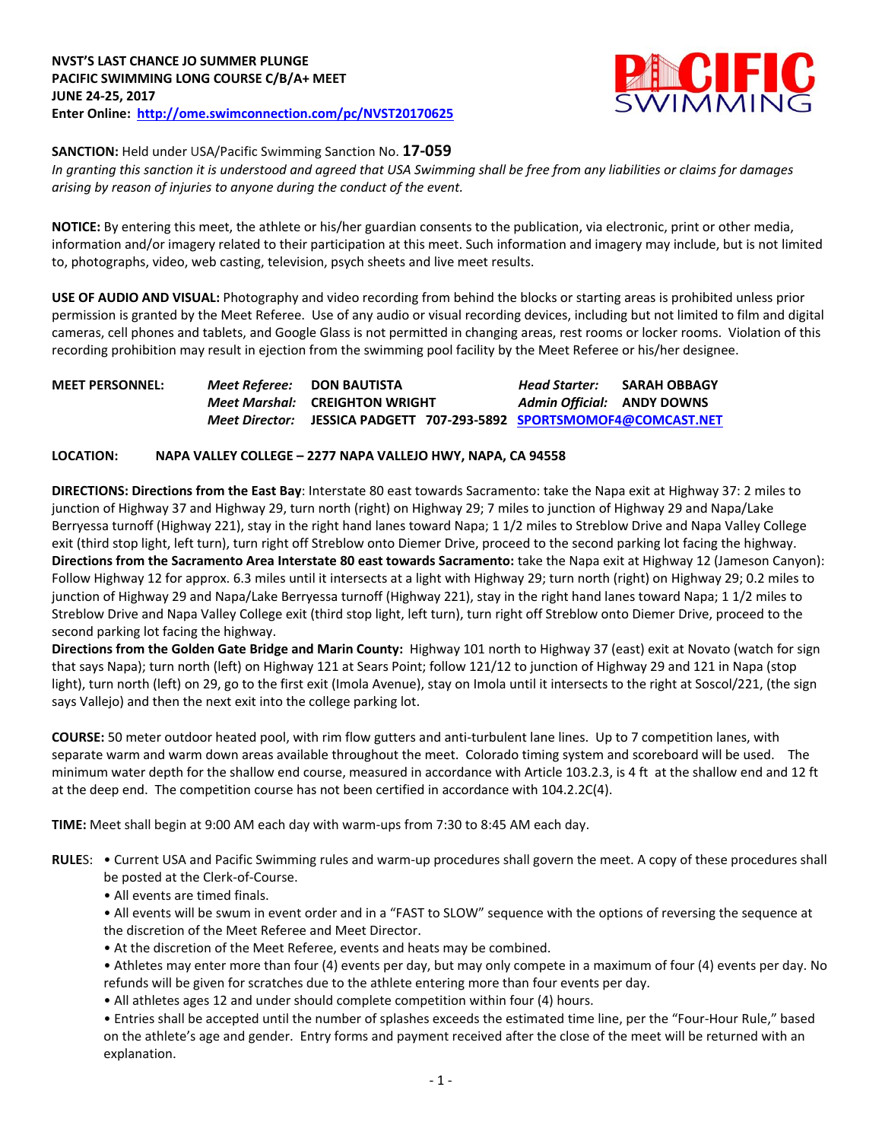

**SANCTION:** Held under USA/Pacific Swimming Sanction No. **17-059**

*In granting this sanction it is understood and agreed that USA Swimming shall be free from any liabilities or claims for damages arising by reason of injuries to anyone during the conduct of the event.*

**NOTICE:** By entering this meet, the athlete or his/her guardian consents to the publication, via electronic, print or other media, information and/or imagery related to their participation at this meet. Such information and imagery may include, but is not limited to, photographs, video, web casting, television, psych sheets and live meet results.

**USE OF AUDIO AND VISUAL:** Photography and video recording from behind the blocks or starting areas is prohibited unless prior permission is granted by the Meet Referee. Use of any audio or visual recording devices, including but not limited to film and digital cameras, cell phones and tablets, and Google Glass is not permitted in changing areas, rest rooms or locker rooms. Violation of this recording prohibition may result in ejection from the swimming pool facility by the Meet Referee or his/her designee.

| <b>MEET PERSONNEL:</b> | Meet Referee: DON BAUTISTA |                                                       | Head Starter:              | <b>SARAH OBBAGY</b> |
|------------------------|----------------------------|-------------------------------------------------------|----------------------------|---------------------|
|                        |                            | <i>Meet Marshal:</i> CREIGHTON WRIGHT                 | Admin Official: ANDY DOWNS |                     |
|                        | Meet Director:             | JESSICA PADGETT 707-293-5892 SPORTSMOMOF4@COMCAST.NET |                            |                     |

# **LOCATION: NAPA VALLEY COLLEGE – 2277 NAPA VALLEJO HWY, NAPA, CA 94558**

**DIRECTIONS: Directions from the East Bay**: Interstate 80 east towards Sacramento: take the Napa exit at Highway 37: 2 miles to junction of Highway 37 and Highway 29, turn north (right) on Highway 29; 7 miles to junction of Highway 29 and Napa/Lake Berryessa turnoff (Highway 221), stay in the right hand lanes toward Napa; 1 1/2 miles to Streblow Drive and Napa Valley College exit (third stop light, left turn), turn right off Streblow onto Diemer Drive, proceed to the second parking lot facing the highway. **Directions from the Sacramento Area Interstate 80 east towards Sacramento:** take the Napa exit at Highway 12 (Jameson Canyon): Follow Highway 12 for approx. 6.3 miles until it intersects at a light with Highway 29; turn north (right) on Highway 29; 0.2 miles to junction of Highway 29 and Napa/Lake Berryessa turnoff (Highway 221), stay in the right hand lanes toward Napa; 1 1/2 miles to Streblow Drive and Napa Valley College exit (third stop light, left turn), turn right off Streblow onto Diemer Drive, proceed to the second parking lot facing the highway.

**Directions from the Golden Gate Bridge and Marin County:** Highway 101 north to Highway 37 (east) exit at Novato (watch for sign that says Napa); turn north (left) on Highway 121 at Sears Point; follow 121/12 to junction of Highway 29 and 121 in Napa (stop light), turn north (left) on 29, go to the first exit (Imola Avenue), stay on Imola until it intersects to the right at Soscol/221, (the sign says Vallejo) and then the next exit into the college parking lot.

**COURSE:** 50 meter outdoor heated pool, with rim flow gutters and anti-turbulent lane lines. Up to 7 competition lanes, with separate warm and warm down areas available throughout the meet. Colorado timing system and scoreboard will be used. The minimum water depth for the shallow end course, measured in accordance with Article 103.2.3, is 4 ft at the shallow end and 12 ft at the deep end. The competition course has not been certified in accordance with 104.2.2C(4).

**TIME:** Meet shall begin at 9:00 AM each day with warm-ups from 7:30 to 8:45 AM each day.

- **RULE**S: Current USA and Pacific Swimming rules and warm-up procedures shall govern the meet. A copy of these procedures shall be posted at the Clerk-of-Course.
	- All events are timed finals.

• All events will be swum in event order and in a "FAST to SLOW" sequence with the options of reversing the sequence at the discretion of the Meet Referee and Meet Director.

• At the discretion of the Meet Referee, events and heats may be combined.

• Athletes may enter more than four (4) events per day, but may only compete in a maximum of four (4) events per day. No refunds will be given for scratches due to the athlete entering more than four events per day.

• All athletes ages 12 and under should complete competition within four (4) hours.

• Entries shall be accepted until the number of splashes exceeds the estimated time line, per the "Four-Hour Rule," based on the athlete's age and gender. Entry forms and payment received after the close of the meet will be returned with an explanation.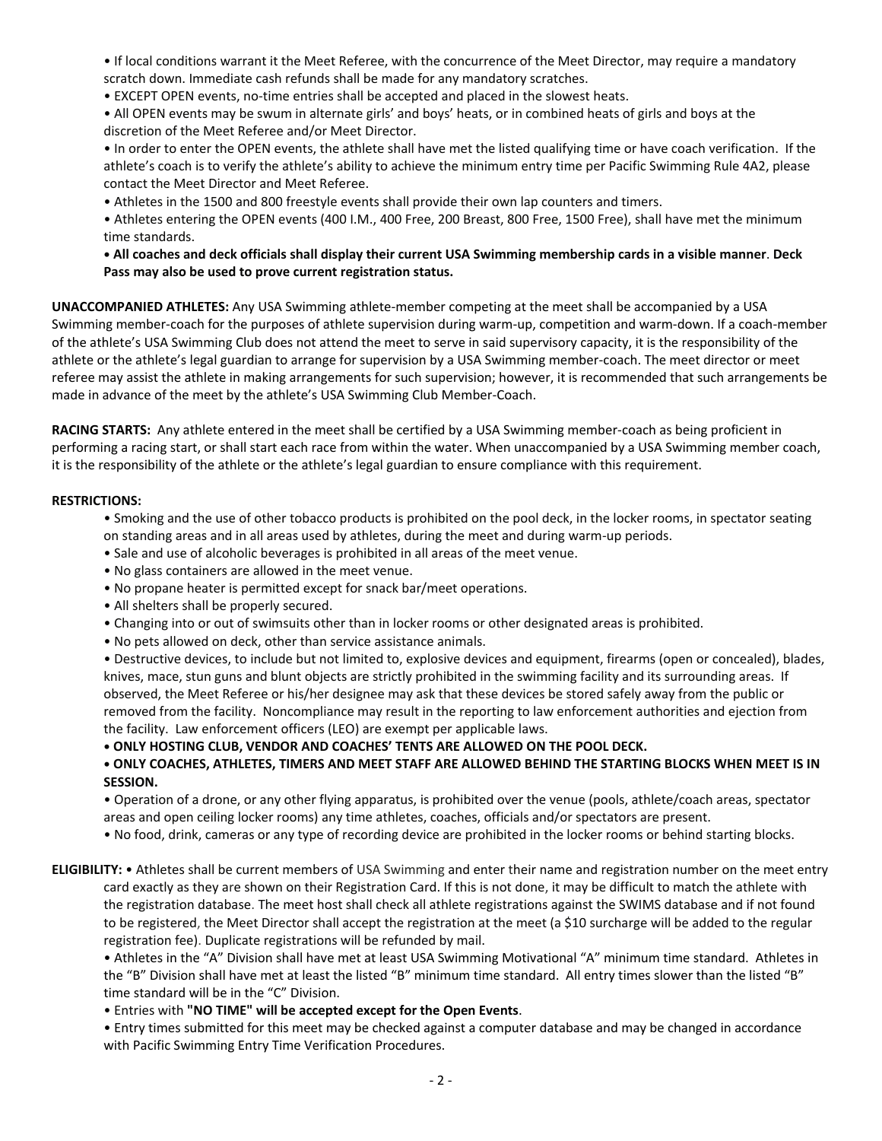• If local conditions warrant it the Meet Referee, with the concurrence of the Meet Director, may require a mandatory scratch down. Immediate cash refunds shall be made for any mandatory scratches.

• EXCEPT OPEN events, no-time entries shall be accepted and placed in the slowest heats.

• All OPEN events may be swum in alternate girls' and boys' heats, or in combined heats of girls and boys at the discretion of the Meet Referee and/or Meet Director.

• In order to enter the OPEN events, the athlete shall have met the listed qualifying time or have coach verification. If the athlete's coach is to verify the athlete's ability to achieve the minimum entry time per Pacific Swimming Rule 4A2, please contact the Meet Director and Meet Referee.

• Athletes in the 1500 and 800 freestyle events shall provide their own lap counters and timers.

• Athletes entering the OPEN events (400 I.M., 400 Free, 200 Breast, 800 Free, 1500 Free), shall have met the minimum time standards.

**• All coaches and deck officials shall display their current USA Swimming membership cards in a visible manner**. **Deck Pass may also be used to prove current registration status.** 

**UNACCOMPANIED ATHLETES:** Any USA Swimming athlete-member competing at the meet shall be accompanied by a USA Swimming member-coach for the purposes of athlete supervision during warm-up, competition and warm-down. If a coach-member of the athlete's USA Swimming Club does not attend the meet to serve in said supervisory capacity, it is the responsibility of the athlete or the athlete's legal guardian to arrange for supervision by a USA Swimming member-coach. The meet director or meet referee may assist the athlete in making arrangements for such supervision; however, it is recommended that such arrangements be made in advance of the meet by the athlete's USA Swimming Club Member-Coach.

**RACING STARTS:** Any athlete entered in the meet shall be certified by a USA Swimming member-coach as being proficient in performing a racing start, or shall start each race from within the water. When unaccompanied by a USA Swimming member coach, it is the responsibility of the athlete or the athlete's legal guardian to ensure compliance with this requirement.

## **RESTRICTIONS:**

- Smoking and the use of other tobacco products is prohibited on the pool deck, in the locker rooms, in spectator seating on standing areas and in all areas used by athletes, during the meet and during warm-up periods.
- Sale and use of alcoholic beverages is prohibited in all areas of the meet venue.
- No glass containers are allowed in the meet venue.
- No propane heater is permitted except for snack bar/meet operations.
- All shelters shall be properly secured.
- Changing into or out of swimsuits other than in locker rooms or other designated areas is prohibited.
- No pets allowed on deck, other than service assistance animals.

• Destructive devices, to include but not limited to, explosive devices and equipment, firearms (open or concealed), blades, knives, mace, stun guns and blunt objects are strictly prohibited in the swimming facility and its surrounding areas. If observed, the Meet Referee or his/her designee may ask that these devices be stored safely away from the public or removed from the facility. Noncompliance may result in the reporting to law enforcement authorities and ejection from the facility. Law enforcement officers (LEO) are exempt per applicable laws.

**• ONLY HOSTING CLUB, VENDOR AND COACHES' TENTS ARE ALLOWED ON THE POOL DECK.** 

# **• ONLY COACHES, ATHLETES, TIMERS AND MEET STAFF ARE ALLOWED BEHIND THE STARTING BLOCKS WHEN MEET IS IN SESSION.**

• Operation of a drone, or any other flying apparatus, is prohibited over the venue (pools, athlete/coach areas, spectator areas and open ceiling locker rooms) any time athletes, coaches, officials and/or spectators are present.

• No food, drink, cameras or any type of recording device are prohibited in the locker rooms or behind starting blocks.

**ELIGIBILITY:** • Athletes shall be current members of USA Swimming and enter their name and registration number on the meet entry card exactly as they are shown on their Registration Card. If this is not done, it may be difficult to match the athlete with the registration database. The meet host shall check all athlete registrations against the SWIMS database and if not found to be registered, the Meet Director shall accept the registration at the meet (a \$10 surcharge will be added to the regular registration fee). Duplicate registrations will be refunded by mail.

• Athletes in the "A" Division shall have met at least USA Swimming Motivational "A" minimum time standard. Athletes in the "B" Division shall have met at least the listed "B" minimum time standard. All entry times slower than the listed "B" time standard will be in the "C" Division.

• Entries with **"NO TIME" will be accepted except for the Open Events**.

• Entry times submitted for this meet may be checked against a computer database and may be changed in accordance with Pacific Swimming Entry Time Verification Procedures.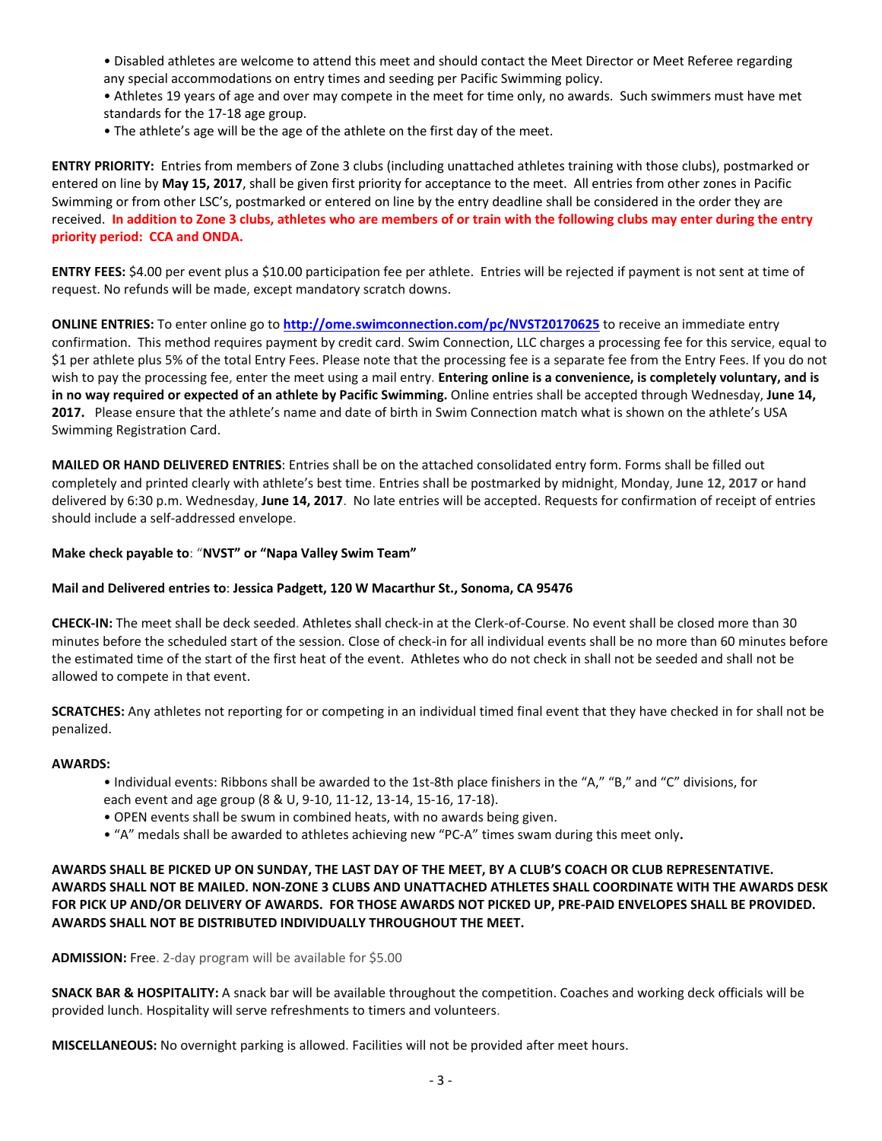- Disabled athletes are welcome to attend this meet and should contact the Meet Director or Meet Referee regarding any special accommodations on entry times and seeding per Pacific Swimming policy.
- Athletes 19 years of age and over may compete in the meet for time only, no awards. Such swimmers must have met standards for the 17-18 age group.
- The athlete's age will be the age of the athlete on the first day of the meet.

**ENTRY PRIORITY:** Entries from members of Zone 3 clubs (including unattached athletes training with those clubs), postmarked or entered on line by **May 15, 2017**, shall be given first priority for acceptance to the meet. All entries from other zones in Pacific Swimming or from other LSC's, postmarked or entered on line by the entry deadline shall be considered in the order they are received. **In addition to Zone 3 clubs, athletes who are members of or train with the following clubs may enter during the entry priority period: CCA and ONDA.**

**ENTRY FEES:** \$4.00 per event plus a \$10.00 participation fee per athlete. Entries will be rejected if payment is not sent at time of request. No refunds will be made, except mandatory scratch downs.

**ONLINE ENTRIES:** To enter online go to **<http://ome.swimconnection.com/pc/NVST20170625>** to receive an immediate entry confirmation. This method requires payment by credit card. Swim Connection, LLC charges a processing fee for this service, equal to \$1 per athlete plus 5% of the total Entry Fees. Please note that the processing fee is a separate fee from the Entry Fees. If you do not wish to pay the processing fee, enter the meet using a mail entry. **Entering online is a convenience, is completely voluntary, and is in no way required or expected of an athlete by Pacific Swimming.** Online entries shall be accepted through Wednesday, **June 14, 2017.** Please ensure that the athlete's name and date of birth in Swim Connection match what is shown on the athlete's USA Swimming Registration Card.

**MAILED OR HAND DELIVERED ENTRIES**: Entries shall be on the attached consolidated entry form. Forms shall be filled out completely and printed clearly with athlete's best time. Entries shall be postmarked by midnight, Monday, **June 12, 2017** or hand delivered by 6:30 p.m. Wednesday, **June 14, 2017**. No late entries will be accepted. Requests for confirmation of receipt of entries should include a self-addressed envelope.

## **Make check payable to**: "**NVST" or "Napa Valley Swim Team"**

## **Mail and Delivered entries to**: **Jessica Padgett, 120 W Macarthur St., Sonoma, CA 95476**

**CHECK-IN:** The meet shall be deck seeded. Athletes shall check-in at the Clerk-of-Course. No event shall be closed more than 30 minutes before the scheduled start of the session. Close of check-in for all individual events shall be no more than 60 minutes before the estimated time of the start of the first heat of the event. Athletes who do not check in shall not be seeded and shall not be allowed to compete in that event.

**SCRATCHES:** Any athletes not reporting for or competing in an individual timed final event that they have checked in for shall not be penalized.

## **AWARDS:**

- Individual events: Ribbons shall be awarded to the 1st-8th place finishers in the "A," "B," and "C" divisions, for each event and age group (8 & U, 9-10, 11-12, 13-14, 15-16, 17-18).
- OPEN events shall be swum in combined heats, with no awards being given.
- "A" medals shall be awarded to athletes achieving new "PC-A" times swam during this meet only**.**

# **AWARDS SHALL BE PICKED UP ON SUNDAY, THE LAST DAY OF THE MEET, BY A CLUB'S COACH OR CLUB REPRESENTATIVE. AWARDS SHALL NOT BE MAILED. NON-ZONE 3 CLUBS AND UNATTACHED ATHLETES SHALL COORDINATE WITH THE AWARDS DESK FOR PICK UP AND/OR DELIVERY OF AWARDS. FOR THOSE AWARDS NOT PICKED UP, PRE-PAID ENVELOPES SHALL BE PROVIDED. AWARDS SHALL NOT BE DISTRIBUTED INDIVIDUALLY THROUGHOUT THE MEET.**

**ADMISSION:** Free. 2-day program will be available for \$5.00

**SNACK BAR & HOSPITALITY:** A snack bar will be available throughout the competition. Coaches and working deck officials will be provided lunch. Hospitality will serve refreshments to timers and volunteers.

**MISCELLANEOUS:** No overnight parking is allowed. Facilities will not be provided after meet hours.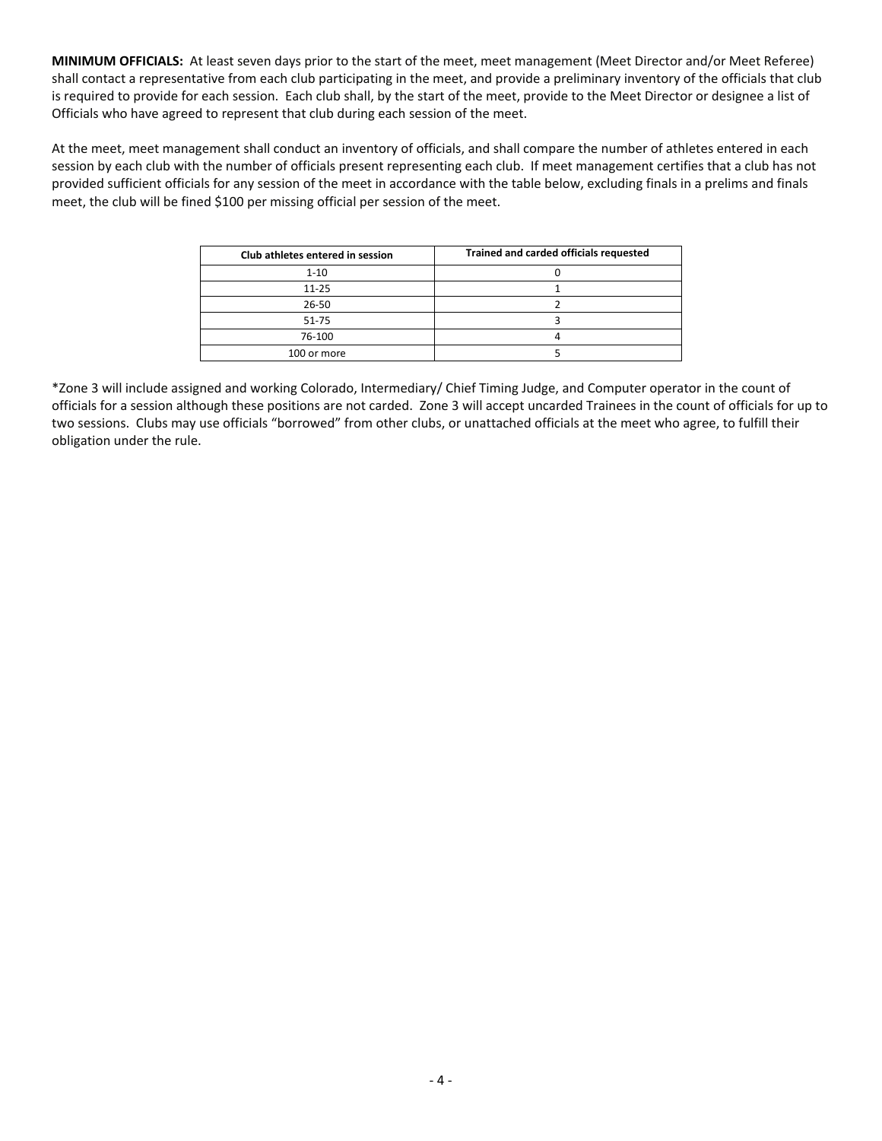**MINIMUM OFFICIALS:** At least seven days prior to the start of the meet, meet management (Meet Director and/or Meet Referee) shall contact a representative from each club participating in the meet, and provide a preliminary inventory of the officials that club is required to provide for each session. Each club shall, by the start of the meet, provide to the Meet Director or designee a list of Officials who have agreed to represent that club during each session of the meet.

At the meet, meet management shall conduct an inventory of officials, and shall compare the number of athletes entered in each session by each club with the number of officials present representing each club. If meet management certifies that a club has not provided sufficient officials for any session of the meet in accordance with the table below, excluding finals in a prelims and finals meet, the club will be fined \$100 per missing official per session of the meet.

| Club athletes entered in session | Trained and carded officials requested |
|----------------------------------|----------------------------------------|
| $1 - 10$                         |                                        |
| $11 - 25$                        |                                        |
| 26-50                            |                                        |
| $51 - 75$                        |                                        |
| 76-100                           |                                        |
| 100 or more                      |                                        |

\*Zone 3 will include assigned and working Colorado, Intermediary/ Chief Timing Judge, and Computer operator in the count of officials for a session although these positions are not carded. Zone 3 will accept uncarded Trainees in the count of officials for up to two sessions. Clubs may use officials "borrowed" from other clubs, or unattached officials at the meet who agree, to fulfill their obligation under the rule.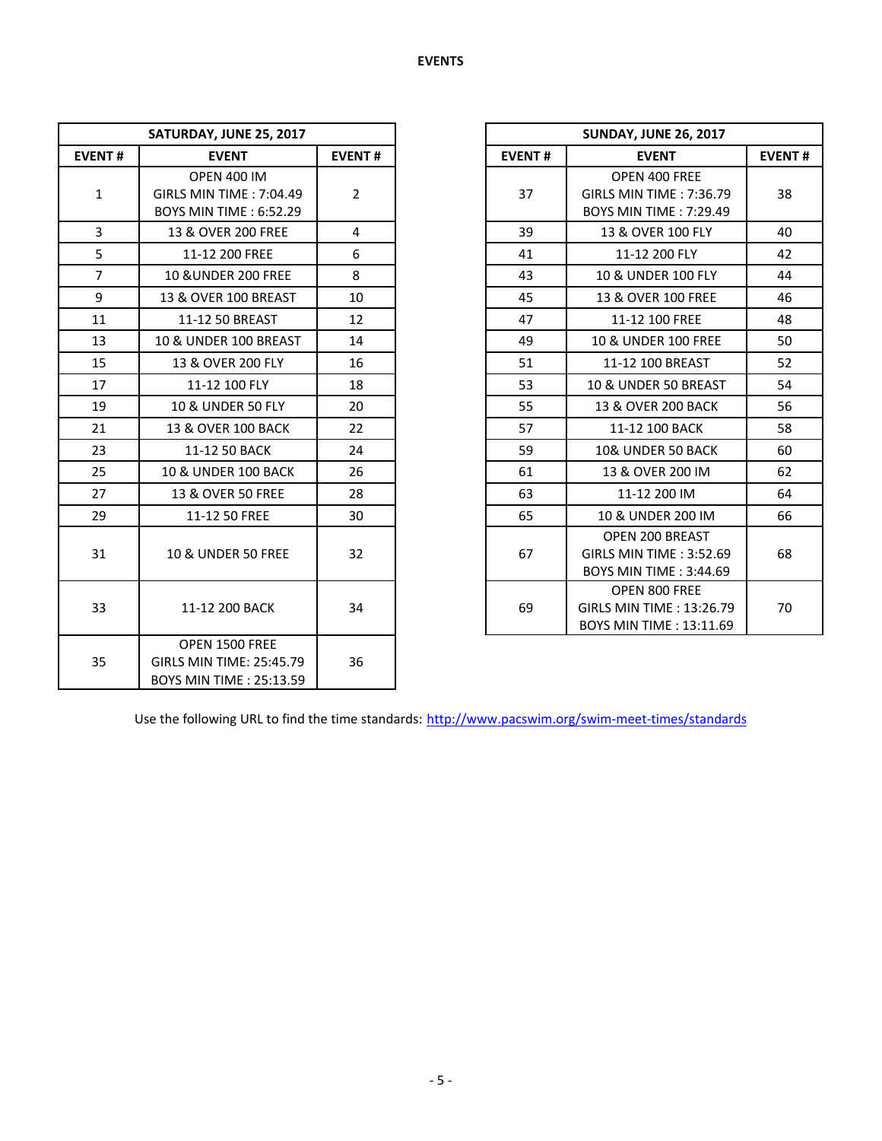| SATURDAY, JUNE 25, 2017 |                                                                                |                |               | <b>SUNDAY, JUNE 26, 2017</b>                                                     |
|-------------------------|--------------------------------------------------------------------------------|----------------|---------------|----------------------------------------------------------------------------------|
| <b>EVENT#</b>           | <b>EVENT</b>                                                                   | <b>EVENT#</b>  | <b>EVENT#</b> | <b>EVENT</b>                                                                     |
| $\mathbf{1}$            | <b>OPEN 400 IM</b><br>GIRLS MIN TIME: 7:04.49<br><b>BOYS MIN TIME: 6:52.29</b> | $\overline{2}$ | 37            | OPEN 400 FREE<br>GIRLS MIN TIME: 7:36.7<br><b>BOYS MIN TIME: 7:29.49</b>         |
| $\overline{3}$          | 13 & OVER 200 FREE                                                             | 4              | 39            | 13 & OVER 100 FLY                                                                |
| 5                       | 11-12 200 FREE                                                                 | 6              | 41            | 11-12 200 FLY                                                                    |
| $\overline{7}$          | <b>10 &amp; UNDER 200 FREE</b>                                                 | 8              | 43            | 10 & UNDER 100 FLY                                                               |
| 9                       | 13 & OVER 100 BREAST                                                           | 10             | 45            | 13 & OVER 100 FREE                                                               |
| 11                      | 11-12 50 BREAST                                                                | 12             | 47            | 11-12 100 FREE                                                                   |
| 13                      | <b>10 &amp; UNDER 100 BREAST</b>                                               | 14             | 49            | 10 & UNDER 100 FREE                                                              |
| 15                      | 13 & OVER 200 FLY                                                              | 16             | 51            | 11-12 100 BREAST                                                                 |
| 17                      | 11-12 100 FLY                                                                  | 18             | 53            | 10 & UNDER 50 BREAST                                                             |
| 19                      | 10 & UNDER 50 FLY                                                              | 20             | 55            | 13 & OVER 200 BACK                                                               |
| 21                      | 13 & OVER 100 BACK                                                             | 22             | 57            | 11-12 100 BACK                                                                   |
| 23                      | 11-12 50 BACK                                                                  | 24             | 59            | 10& UNDER 50 BACK                                                                |
| 25                      | <b>10 &amp; UNDER 100 BACK</b>                                                 | 26             | 61            | 13 & OVER 200 IM                                                                 |
| 27                      | 13 & OVER 50 FREE                                                              | 28             | 63            | 11-12 200 IM                                                                     |
| 29                      | 11-12 50 FREE                                                                  | 30             | 65            | 10 & UNDER 200 IM                                                                |
| 31                      | <b>10 &amp; UNDER 50 FREE</b>                                                  | 32             | 67            | OPEN 200 BREAST<br>GIRLS MIN TIME: 3:52.6<br><b>BOYS MIN TIME: 3:44.69</b>       |
| 33                      | 11-12 200 BACK                                                                 | 34             | 69            | OPEN 800 FREE<br><b>GIRLS MIN TIME: 13:26.7</b><br><b>BOYS MIN TIME: 13:11.6</b> |
| 35                      | OPEN 1500 FREE<br>GIRLS MIN TIME: 25:45.79<br>BOYS MIN TIME: 25:13.59          | 36             |               |                                                                                  |

| SATURDAY, JUNE 25, 2017 |                                                                                       |                |  |
|-------------------------|---------------------------------------------------------------------------------------|----------------|--|
| <b>EVENT#</b>           | <b>EVENT</b>                                                                          |                |  |
| $\mathbf{1}$            | <b>OPEN 400 IM</b><br><b>GIRLS MIN TIME: 7:04.49</b><br><b>BOYS MIN TIME: 6:52.29</b> | $\overline{2}$ |  |
| 3                       | 13 & OVER 200 FREE                                                                    | $\overline{4}$ |  |
| 5                       | 11-12 200 FREE                                                                        | 6              |  |
| $\overline{7}$          | <b>10 &amp; UNDER 200 FREE</b>                                                        | 8              |  |
| 9                       | 13 & OVER 100 BREAST                                                                  | 10             |  |
| 11                      | 11-12 50 BREAST                                                                       | 12             |  |
| 13                      | 10 & UNDER 100 BREAST                                                                 | 14             |  |
| 15                      | 13 & OVER 200 FLY                                                                     | 16             |  |
| 17                      | 11-12 100 FLY                                                                         | 18             |  |
| 19                      | 10 & UNDER 50 FLY                                                                     | 20             |  |
| 21                      | 13 & OVER 100 BACK                                                                    | 22             |  |
| 23                      | 11-12 50 BACK                                                                         | 24             |  |
| 25                      | <b>10 &amp; UNDER 100 BACK</b>                                                        | 26             |  |
| 27                      | 13 & OVER 50 FREE                                                                     | 28             |  |
| 29                      | 11-12 50 FREE                                                                         | 30             |  |
| 31                      | <b>10 &amp; UNDER 50 FREE</b>                                                         | 32             |  |
| 33                      | 11-12 200 BACK                                                                        | 34             |  |

Use the following URL to find the time standards: <http://www.pacswim.org/swim-meet-times/standards>